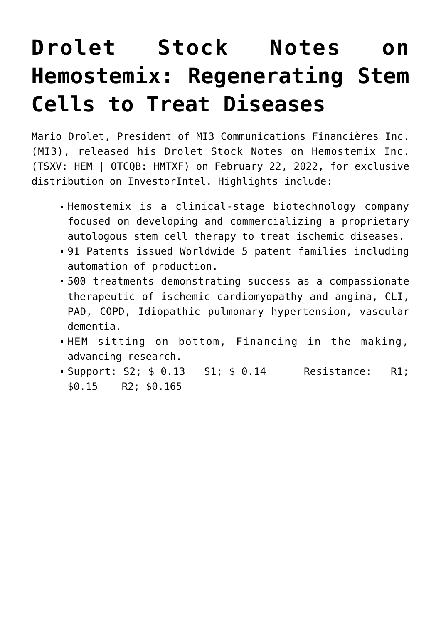## **[Drolet Stock Notes on](https://investorintel.com/markets/biotech-healthcare/biotech-intel/drolet-stock-notes-on-hemostemix-regenerating-stem-cells-to-treat-diseases/) [Hemostemix: Regenerating Stem](https://investorintel.com/markets/biotech-healthcare/biotech-intel/drolet-stock-notes-on-hemostemix-regenerating-stem-cells-to-treat-diseases/) [Cells to Treat Diseases](https://investorintel.com/markets/biotech-healthcare/biotech-intel/drolet-stock-notes-on-hemostemix-regenerating-stem-cells-to-treat-diseases/)**

Mario Drolet, President of MI3 Communications Financières Inc. (MI3), released his Drolet Stock Notes on [Hemostemix Inc.](https://hemostemix.com/) (TSXV: HEM | OTCQB: HMTXF) on February 22, 2022, for exclusive distribution on InvestorIntel. Highlights include:

- Hemostemix is a clinical-stage biotechnology company focused on developing and commercializing a proprietary autologous stem cell therapy to treat ischemic diseases.
- 91 Patents issued Worldwide 5 patent families including automation of production.
- 500 treatments demonstrating success as a compassionate therapeutic of ischemic cardiomyopathy and angina, CLI, PAD, COPD, Idiopathic pulmonary hypertension, vascular dementia.
- HEM sitting on bottom, Financing in the making, advancing research.
- Support: S2; \$ 0.13 S1; \$ 0.14 Resistance: R1; \$0.15 R2; \$0.165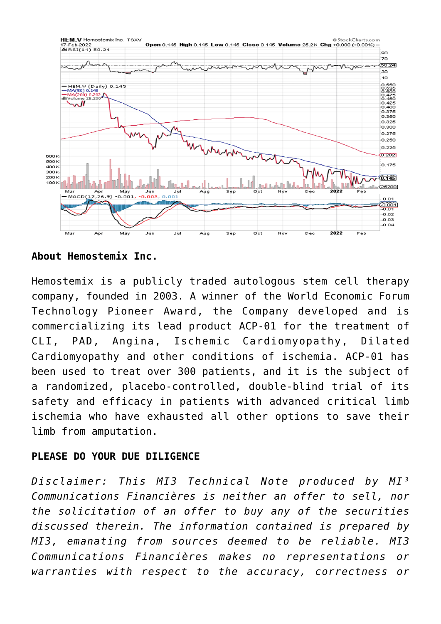

**About Hemostemix Inc.**

Hemostemix is a publicly traded autologous stem cell therapy company, founded in 2003. A winner of the World Economic Forum Technology Pioneer Award, the Company developed and is commercializing its lead product ACP-01 for the treatment of CLI, PAD, Angina, Ischemic Cardiomyopathy, Dilated Cardiomyopathy and other conditions of ischemia. ACP-01 has been used to treat over 300 patients, and it is the subject of a randomized, placebo-controlled, double-blind trial of its safety and efficacy in patients with advanced critical limb ischemia who have exhausted all other options to save their limb from amputation.

## **PLEASE DO YOUR DUE DILIGENCE**

*Disclaimer: This MI3 Technical Note produced by MI³ Communications Financières is neither an offer to sell, nor the solicitation of an offer to buy any of the securities discussed therein. The information contained is prepared by MI3, emanating from sources deemed to be reliable. MI3 Communications Financières makes no representations or warranties with respect to the accuracy, correctness or*